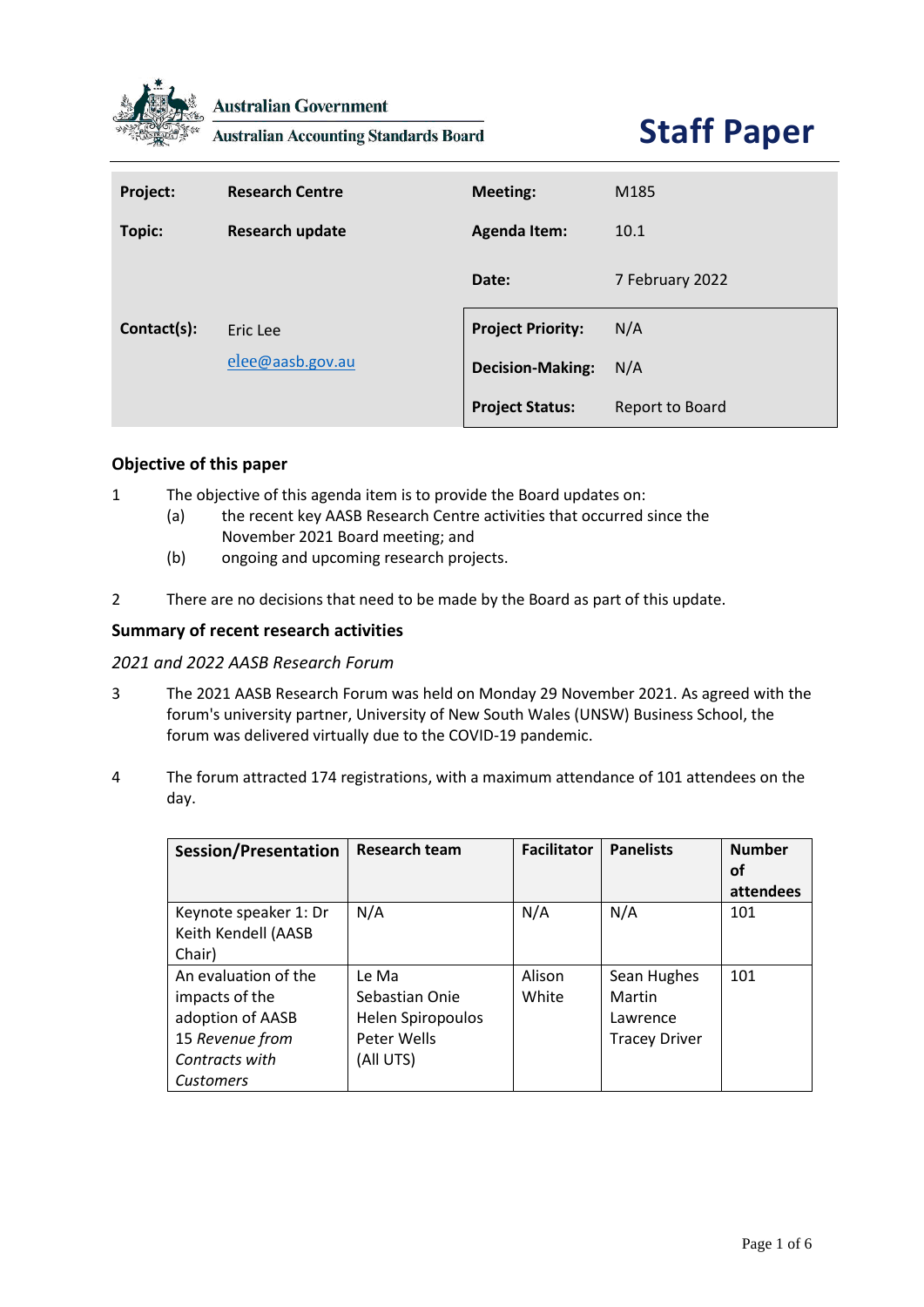

**Australian Government** 

**Australian Accounting Standards Board** 

# **Staff Paper**

| Project:      | <b>Research Centre</b> | <b>Meeting:</b>          | M185            |
|---------------|------------------------|--------------------------|-----------------|
| <b>Topic:</b> | <b>Research update</b> | <b>Agenda Item:</b>      | 10.1            |
|               |                        | Date:                    | 7 February 2022 |
| Contact(s):   | Eric Lee               | <b>Project Priority:</b> | N/A             |
|               | elee@aasb.gov.au       | <b>Decision-Making:</b>  | N/A             |
|               |                        | <b>Project Status:</b>   | Report to Board |

# **Objective of this paper**

- 1 The objective of this agenda item is to provide the Board updates on:
	- (a) the recent key AASB Research Centre activities that occurred since the November 2021 Board meeting; and
	- (b) ongoing and upcoming research projects.
- 2 There are no decisions that need to be made by the Board as part of this update.

# **Summary of recent research activities**

#### *2021 and 2022 AASB Research Forum*

- 3 The 2021 AASB Research Forum was held on Monday 29 November 2021. As agreed with the forum's university partner, University of New South Wales (UNSW) Business School, the forum was delivered virtually due to the COVID-19 pandemic.
- 4 The forum attracted 174 registrations, with a maximum attendance of 101 attendees on the day.

| Session/Presentation  | <b>Research team</b> | <b>Facilitator</b> | <b>Panelists</b>     | <b>Number</b> |
|-----------------------|----------------------|--------------------|----------------------|---------------|
|                       |                      |                    |                      | οf            |
|                       |                      |                    |                      | attendees     |
| Keynote speaker 1: Dr | N/A                  | N/A                | N/A                  | 101           |
| Keith Kendell (AASB   |                      |                    |                      |               |
| Chair)                |                      |                    |                      |               |
| An evaluation of the  | Le Ma                | Alison             | Sean Hughes          | 101           |
| impacts of the        | Sebastian Onie       | White              | Martin               |               |
| adoption of AASB      | Helen Spiropoulos    |                    | Lawrence             |               |
| 15 Revenue from       | Peter Wells          |                    | <b>Tracey Driver</b> |               |
| Contracts with        | (All UTS)            |                    |                      |               |
| <b>Customers</b>      |                      |                    |                      |               |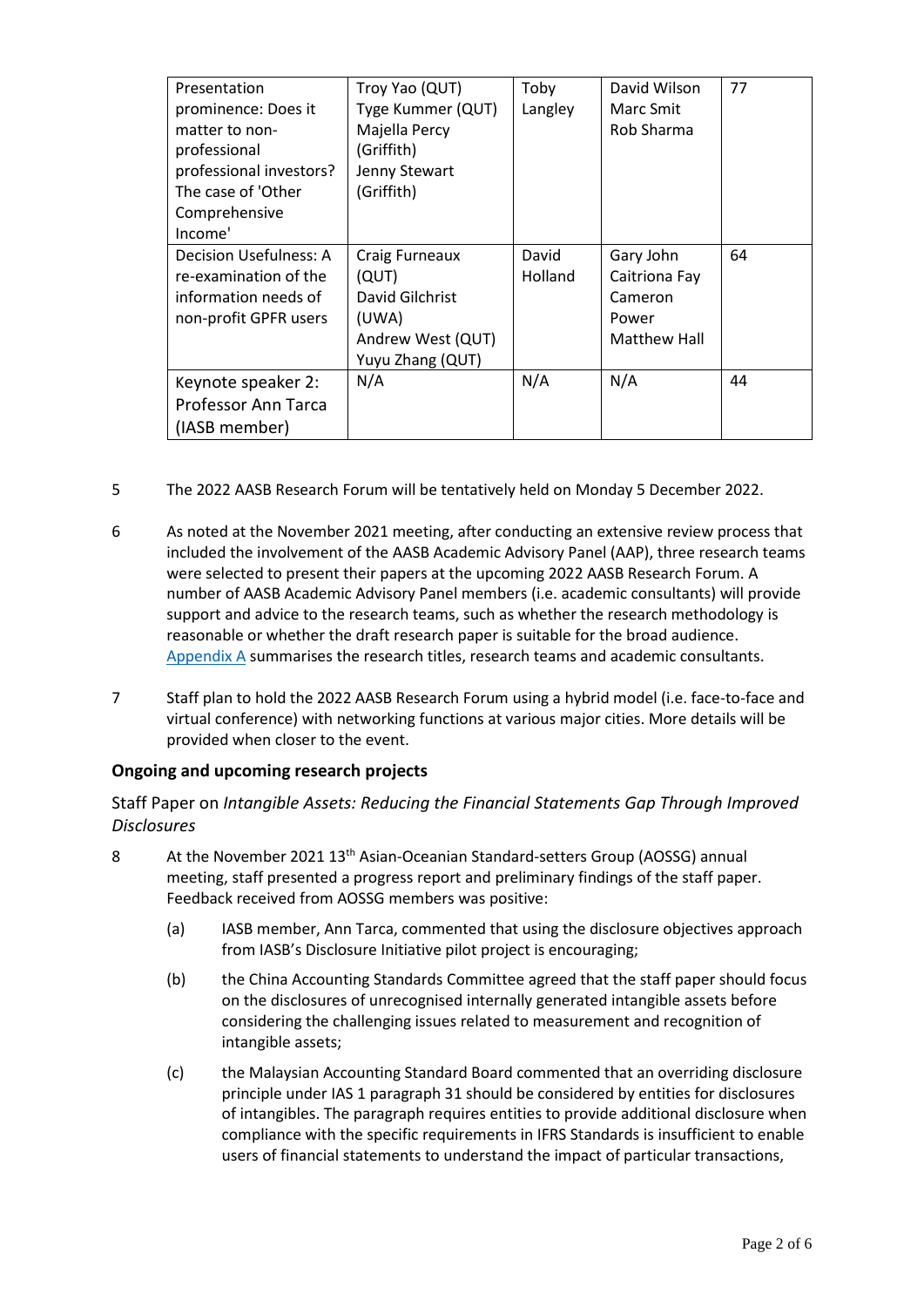| Presentation<br>prominence: Does it<br>matter to non-<br>professional<br>professional investors?<br>The case of 'Other<br>Comprehensive | Troy Yao (QUT)<br>Tyge Kummer (QUT)<br>Majella Percy<br>(Griffith)<br>Jenny Stewart<br>(Griffith) | Toby<br>Langley  | David Wilson<br>Marc Smit<br>Rob Sharma                               | 77 |
|-----------------------------------------------------------------------------------------------------------------------------------------|---------------------------------------------------------------------------------------------------|------------------|-----------------------------------------------------------------------|----|
| Income'<br>Decision Usefulness: A<br>re-examination of the<br>information needs of<br>non-profit GPFR users                             | Craig Furneaux<br>(QUT)<br>David Gilchrist<br>(UWA)<br>Andrew West (QUT)<br>Yuyu Zhang (QUT)      | David<br>Holland | Gary John<br>Caitriona Fay<br>Cameron<br>Power<br><b>Matthew Hall</b> | 64 |
| Keynote speaker 2:<br>Professor Ann Tarca<br>(IASB member)                                                                              | N/A                                                                                               | N/A              | N/A                                                                   | 44 |

- 5 The 2022 AASB Research Forum will be tentatively held on Monday 5 December 2022.
- 6 As noted at the November 2021 meeting, after conducting an extensive review process that included the involvement of the AASB Academic Advisory Panel (AAP), three research teams were selected to present their papers at the upcoming 2022 AASB Research Forum. A number of AASB Academic Advisory Panel members (i.e. academic consultants) will provide support and advice to the research teams, such as whether the research methodology is reasonable or whether the draft research paper is suitable for the broad audience. [Appendix](#page-4-0) A summarises the research titles, research teams and academic consultants.
- 7 Staff plan to hold the 2022 AASB Research Forum using a hybrid model (i.e. face-to-face and virtual conference) with networking functions at various major cities. More details will be provided when closer to the event.

# **Ongoing and upcoming research projects**

Staff Paper on *Intangible Assets: Reducing the Financial Statements Gap Through Improved Disclosures*

- 8 At the November 2021 13<sup>th</sup> Asian-Oceanian Standard-setters Group (AOSSG) annual meeting, staff presented a progress report and preliminary findings of the staff paper. Feedback received from AOSSG members was positive:
	- (a) IASB member, Ann Tarca, commented that using the disclosure objectives approach from IASB's Disclosure Initiative pilot project is encouraging;
	- (b) the China Accounting Standards Committee agreed that the staff paper should focus on the disclosures of unrecognised internally generated intangible assets before considering the challenging issues related to measurement and recognition of intangible assets;
	- (c) the Malaysian Accounting Standard Board commented that an overriding disclosure principle under IAS 1 paragraph 31 should be considered by entities for disclosures of intangibles. The paragraph requires entities to provide additional disclosure when compliance with the specific requirements in IFRS Standards is insufficient to enable users of financial statements to understand the impact of particular transactions,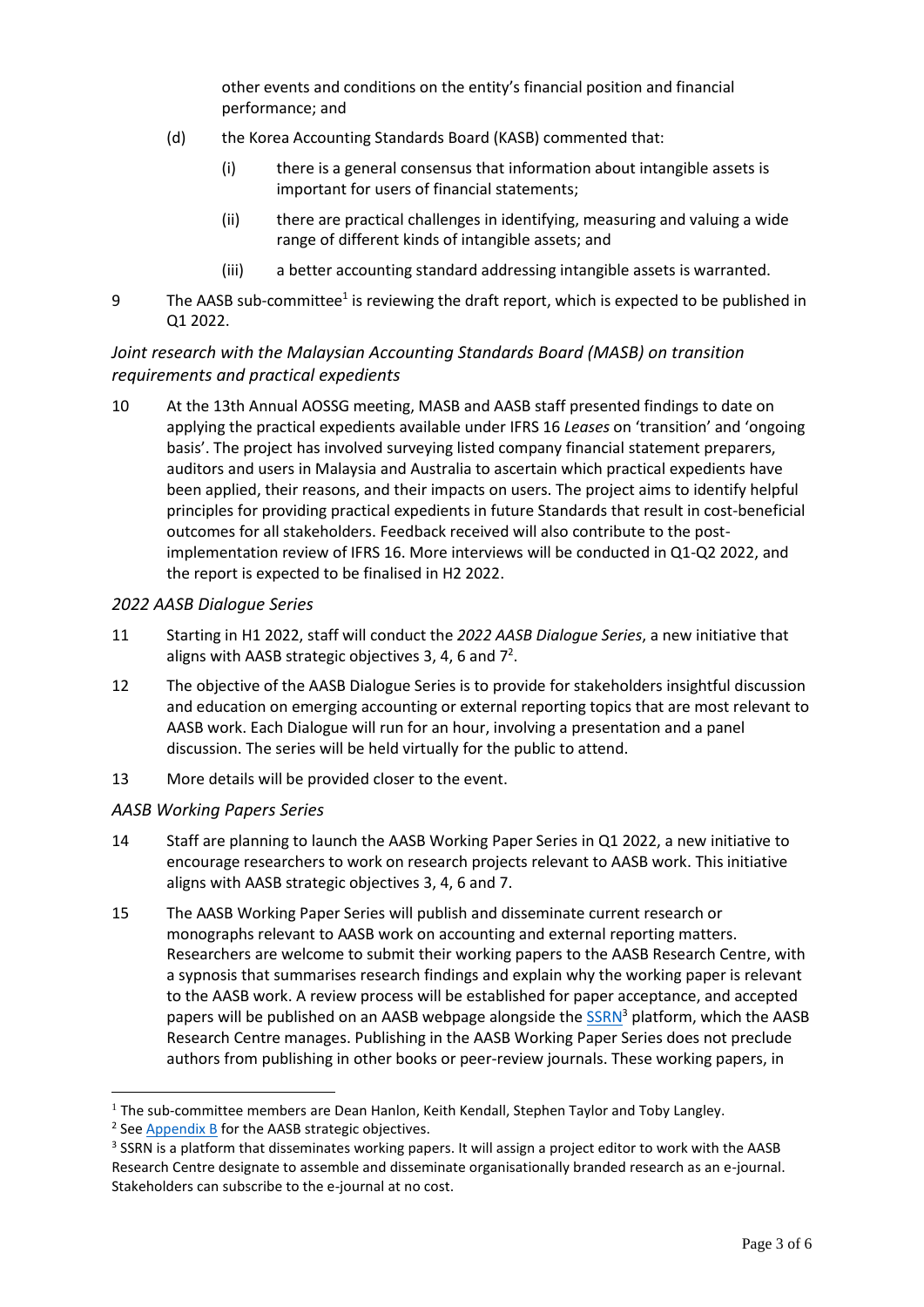other events and conditions on the entity's financial position and financial performance; and

- (d) the Korea Accounting Standards Board (KASB) commented that:
	- (i) there is a general consensus that information about intangible assets is important for users of financial statements;
	- (ii) there are practical challenges in identifying, measuring and valuing a wide range of different kinds of intangible assets; and
	- (iii) a better accounting standard addressing intangible assets is warranted.
- 9 The AASB sub-committee<sup>1</sup> is reviewing the draft report, which is expected to be published in Q1 2022.

# *Joint research with the Malaysian Accounting Standards Board (MASB) on transition requirements and practical expedients*

10 At the 13th Annual AOSSG meeting, MASB and AASB staff presented findings to date on applying the practical expedients available under IFRS 16 *Leases* on 'transition' and 'ongoing basis'. The project has involved surveying listed company financial statement preparers, auditors and users in Malaysia and Australia to ascertain which practical expedients have been applied, their reasons, and their impacts on users. The project aims to identify helpful principles for providing practical expedients in future Standards that result in cost-beneficial outcomes for all stakeholders. Feedback received will also contribute to the postimplementation review of IFRS 16. More interviews will be conducted in Q1-Q2 2022, and the report is expected to be finalised in H2 2022.

#### *2022 AASB Dialogue Series*

- 11 Starting in H1 2022, staff will conduct the *2022 AASB Dialogue Series*, a new initiative that aligns with AASB strategic objectives 3, 4, 6 and  $7^2$ .
- 12 The objective of the AASB Dialogue Series is to provide for stakeholders insightful discussion and education on emerging accounting or external reporting topics that are most relevant to AASB work. Each Dialogue will run for an hour, involving a presentation and a panel discussion. The series will be held virtually for the public to attend.
- 13 More details will be provided closer to the event.

# *AASB Working Papers Series*

- 14 Staff are planning to launch the AASB Working Paper Series in Q1 2022, a new initiative to encourage researchers to work on research projects relevant to AASB work. This initiative aligns with AASB strategic objectives 3, 4, 6 and 7.
- 15 The AASB Working Paper Series will publish and disseminate current research or monographs relevant to AASB work on accounting and external reporting matters. Researchers are welcome to submit their working papers to the AASB Research Centre, with a sypnosis that summarises research findings and explain why the working paper is relevant to the AASB work. A review process will be established for paper acceptance, and accepted papers will be published on an AASB webpage alongside the  $SSRN^3$  platform, which the AASB Research Centre manages. Publishing in the AASB Working Paper Series does not preclude authors from publishing in other books or peer-review journals. These working papers, in

<sup>&</sup>lt;sup>1</sup> The sub-committee members are Dean Hanlon, Keith Kendall, Stephen Taylor and Toby Langley.

<sup>&</sup>lt;sup>2</sup> See **Appendix B** for the AASB strategic objectives.

<sup>&</sup>lt;sup>3</sup> SSRN is a platform that disseminates working papers. It will assign a project editor to work with the AASB Research Centre designate to assemble and disseminate organisationally branded research as an e-journal. Stakeholders can subscribe to the e-journal at no cost.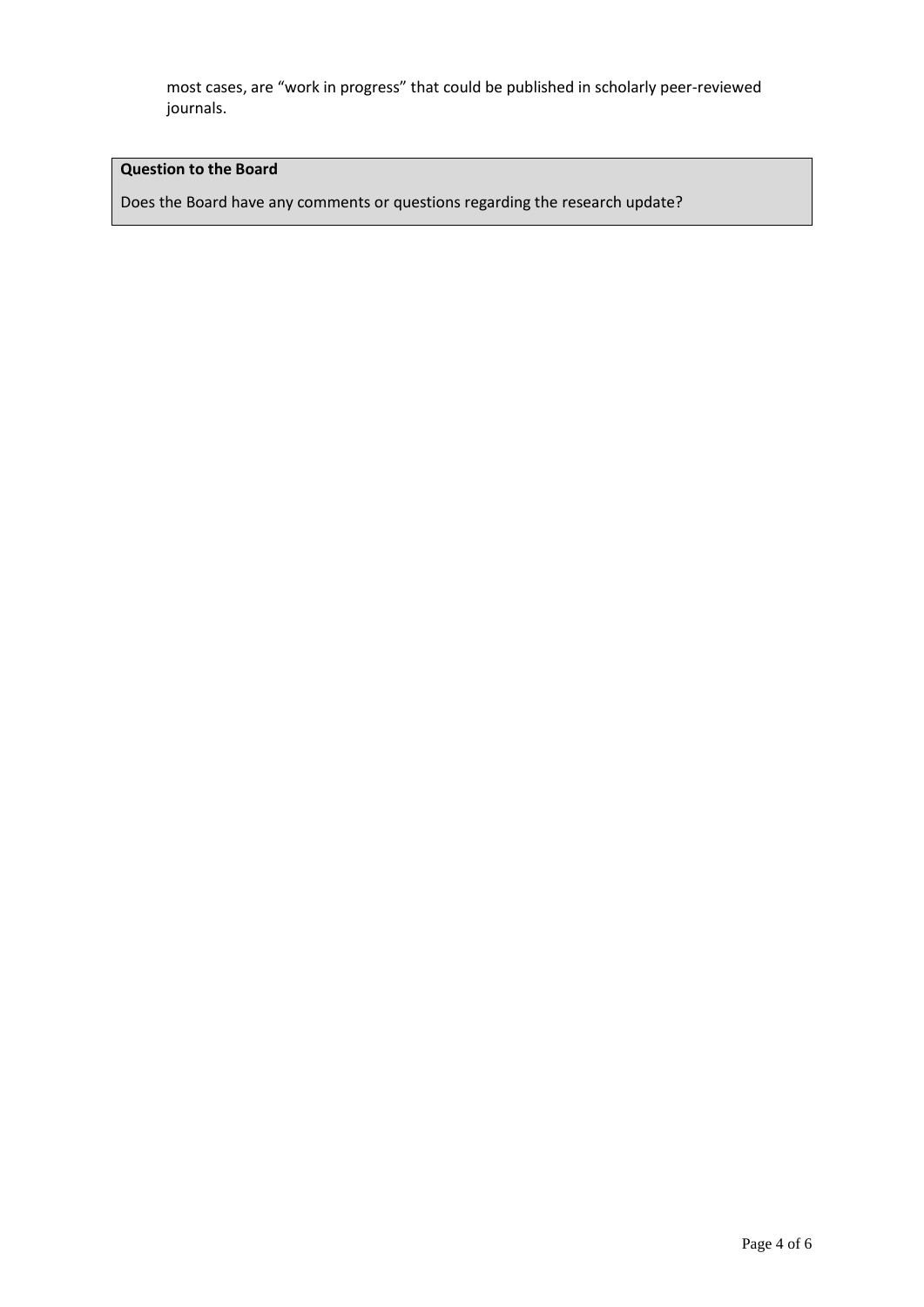most cases, are "work in progress" that could be published in scholarly peer-reviewed journals.

# **Question to the Board**

Does the Board have any comments or questions regarding the research update?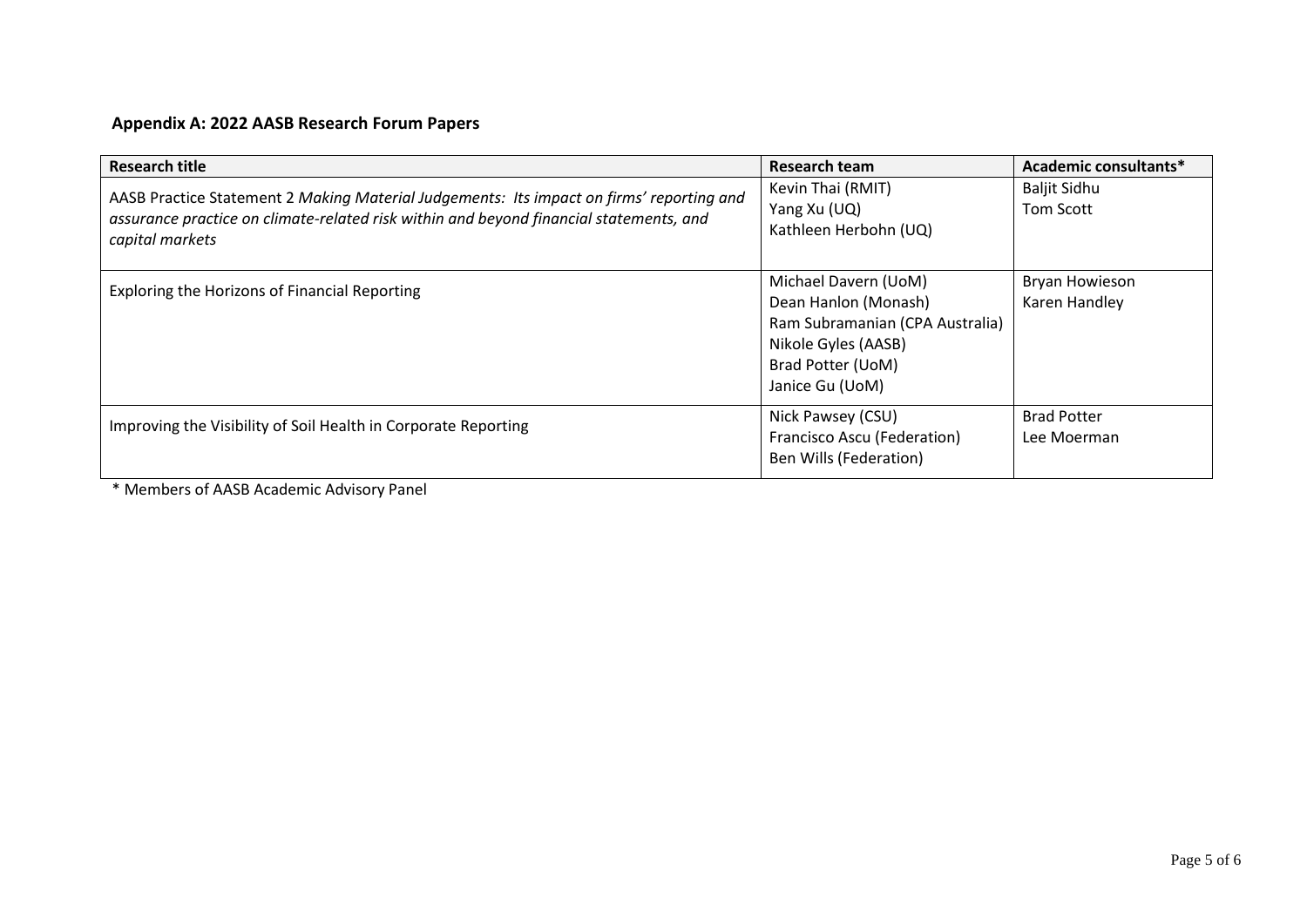# **Appendix A: 2022 AASB Research Forum Papers**

| <b>Research title</b>                                                                                                                                                                                 | Research team                                                                                                                                  | Academic consultants*             |
|-------------------------------------------------------------------------------------------------------------------------------------------------------------------------------------------------------|------------------------------------------------------------------------------------------------------------------------------------------------|-----------------------------------|
| AASB Practice Statement 2 Making Material Judgements: Its impact on firms' reporting and<br>assurance practice on climate-related risk within and beyond financial statements, and<br>capital markets | Kevin Thai (RMIT)<br>Yang Xu (UQ)<br>Kathleen Herbohn (UQ)                                                                                     | <b>Baljit Sidhu</b><br>Tom Scott  |
| Exploring the Horizons of Financial Reporting                                                                                                                                                         | Michael Davern (UoM)<br>Dean Hanlon (Monash)<br>Ram Subramanian (CPA Australia)<br>Nikole Gyles (AASB)<br>Brad Potter (UoM)<br>Janice Gu (UoM) | Bryan Howieson<br>Karen Handley   |
| Improving the Visibility of Soil Health in Corporate Reporting                                                                                                                                        | Nick Pawsey (CSU)<br>Francisco Ascu (Federation)<br>Ben Wills (Federation)                                                                     | <b>Brad Potter</b><br>Lee Moerman |

<span id="page-4-0"></span>\* Members of AASB Academic Advisory Panel